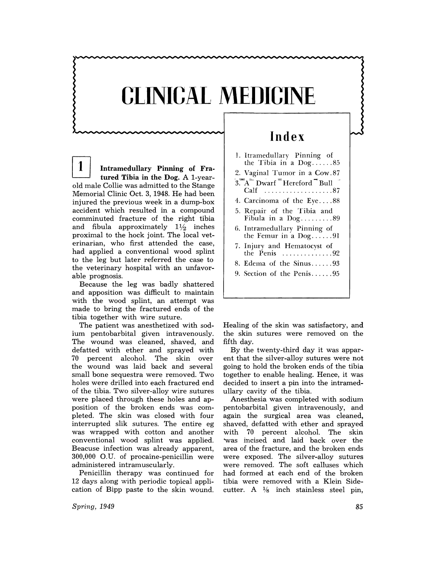## **CLINICAL MEDICINE**

1 Intramedullary Pinning of Fratured Tibia in the Dog. A l-yearold male Collie was admitted to the Stange Memorial Clinic Oct. 3, 1948. He had been injured the previous week in a dump-box accident which resulted in a compound comminuted fracture of the right tibia and fibula approximately  $1\frac{1}{2}$  inches proximal to the hock joint. The local veterinarian, who first attended the case, had applied a conventional wood splint to the leg but later referred the case to the veterinary hospital with an unfavorable prognosis.

Because the leg was badly shattered and apposition was difficult to maintain with the wood splint, an attempt was made to bring the fractured ends of the tibia together with wire suture.

The patient was anesthetized with sodium pentobarbital given intravenously. The wound was cleaned, shaved, and defatted with ether and sprayed with 70 percent alcohol. The skin over the wound was laid back and several small bone sequestra were removed. Two holes were drilled into each fractured end of the tibia. Two silver-alloy wire sutures were placed through these holes and apposition of the broken ends was completed. The skin was closed with four interrupted slik sutures. The entire eg was wrapped with cotton and another conventional wood splint was applied. Beacuse infection was already apparent, 300,000 O.U. of procaine-penicillin were administered intramuscularly.

Penicillin therapy was continued for 12 days along with periodic topical application of Bipp paste to the skin wound.

## **Index**

- 1. Itramedullary Pinning of the Tibia in a  $Dog$ .......85 2. Vaginal Tumor in a Cow. 87  $3\overline{A}$  Dwarf  $\overline{B}$  Hereford  $\overline{B}$  Bull
- Calf .......................87 4. Carcinoma of the Eye....88
- 5. Repair of the Tibia and Fibula in a  $Dog$ ...........89 6. Intramedullary Pinning of
- the Femur in a  $Dog$ .......91 7. Injury and Hematocyst of the Penis .............. 92
- 8. Edema of the Sinus ...... 93
- 9. Section of the Penis ...... 95

Healing of the skin was satisfactory, and the skin sutures were removed on the fifth day.

By the twenty-third day it was apparent that the silver-alloy sutures were not going to hold the broken ends of the tibia together to enable healing. Hence, it was decided to insert a pin into the intramedullary cavity of the tibia.

Anesthesia was completed with sodium pentobarbital given intravenously, and again the surgical area was cleaned, shaved, defatted with ether and sprayed 70 percent alcohol. The skin 'was incised and laid back over the area of the fracture, and the broken ends were exposed. The silver-alloy sutures were removed. The soft calluses which had formed at each end of the broken tibia were removed with a Klein Sidecutter. A  $\frac{1}{8}$  inch stainless steel pin,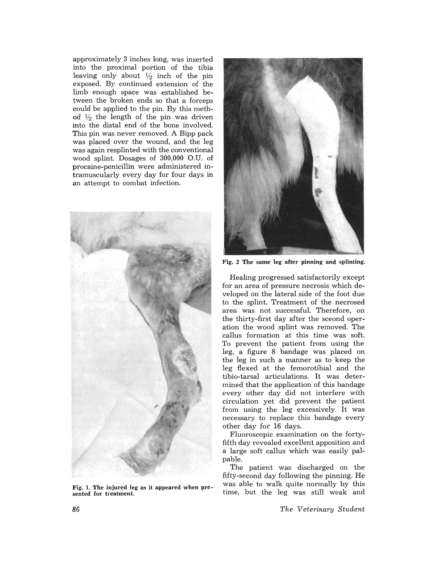approximately 3 inches long, was inserted into the proximal portion of the tibia leaving only about  $\frac{1}{2}$  inch of the pin exposed. By continued extension of the limb enough space was established between the broken ends so that a forceps could be applied to the pin. By this method  $\frac{1}{2}$  the length of the pin was driven into the distal end of the bone involved. This pin was never removed. A Bipp pack was placed over the wound, and the leg was again resplinted with the conventional wood splint. Dosages of 300,000 O.U. of procaine-penicillin were administered intramuscularly every day for four days in an attempt to combat infection.



Fig. 1. The injured leg as it appeared when presented for treatment.



Fig. 2 The same leg after pinning and splinting.

Healing progressed satisfactorily except for an area of pressure necrosis which developed on the lateral side of the foot due to the splint. Treatment of the necrosed area was not successful. Therefore, on the thirty-first day after the sceond operation the wood splint was removed. The callus formation at this time was soft. To prevent the patient from using the leg, a figure 8 bandage was placed on the leg in such a manner as to keep the leg flexed at the femorotibial and the tibio-tarsal articulations. It was determined that the application of this bandage every other day did not interfere with circulation yet did prevent the patient from using the leg excessively. It was necessary to replace this bandage every other day for 16 days.

Fluoroscopic examination on the fortyfifth day revealed excellent apposition and a large soft callus which was easily palpable.

The patient was discharged on the fifty-second day following the pinning. He was able to walk quite normally by this time, but the leg was still weak and

*The Veterinary Student*